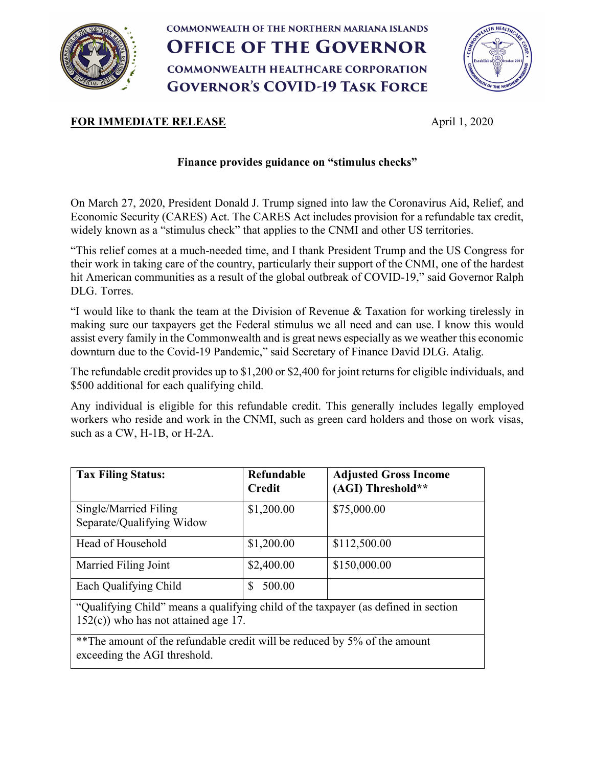

## **COMMONWEALTH OF THE NORTHERN MARIANA ISLANDS OFFICE OF THE GOVERNOR COMMONWEALTH HEALTHCARE CORPORATION GOVERNOR'S COVID-19 TASK FORCE**



## **FOR IMMEDIATE RELEASE** April 1, 2020

## **Finance provides guidance on "stimulus checks"**

On March 27, 2020, President Donald J. Trump signed into law the Coronavirus Aid, Relief, and Economic Security (CARES) Act. The CARES Act includes provision for a refundable tax credit, widely known as a "stimulus check" that applies to the CNMI and other US territories.

"This relief comes at a much-needed time, and I thank President Trump and the US Congress for their work in taking care of the country, particularly their support of the CNMI, one of the hardest hit American communities as a result of the global outbreak of COVID-19," said Governor Ralph DLG. Torres.

"I would like to thank the team at the Division of Revenue & Taxation for working tirelessly in making sure our taxpayers get the Federal stimulus we all need and can use. I know this would assist every family in the Commonwealth and is great news especially as we weather this economic downturn due to the Covid-19 Pandemic," said Secretary of Finance David DLG. Atalig.

The refundable credit provides up to \$1,200 or \$2,400 for joint returns for eligible individuals, and \$500 additional for each qualifying child.

Any individual is eligible for this refundable credit. This generally includes legally employed workers who reside and work in the CNMI, such as green card holders and those on work visas, such as a CW, H-1B, or H-2A.

| <b>Tax Filing Status:</b>                                                                                                     | Refundable<br><b>Credit</b> | <b>Adjusted Gross Income</b><br>(AGI) Threshold** |
|-------------------------------------------------------------------------------------------------------------------------------|-----------------------------|---------------------------------------------------|
| Single/Married Filing<br>Separate/Qualifying Widow                                                                            | \$1,200.00                  | \$75,000.00                                       |
| Head of Household                                                                                                             | \$1,200.00                  | \$112,500.00                                      |
| Married Filing Joint                                                                                                          | \$2,400.00                  | \$150,000.00                                      |
| Each Qualifying Child                                                                                                         | 500.00<br><b>S</b>          |                                                   |
| "Qualifying Child" means a qualifying child of the taxpayer (as defined in section<br>$152(c)$ ) who has not attained age 17. |                             |                                                   |
| **The amount of the refundable credit will be reduced by 5% of the amount<br>exceeding the AGI threshold.                     |                             |                                                   |